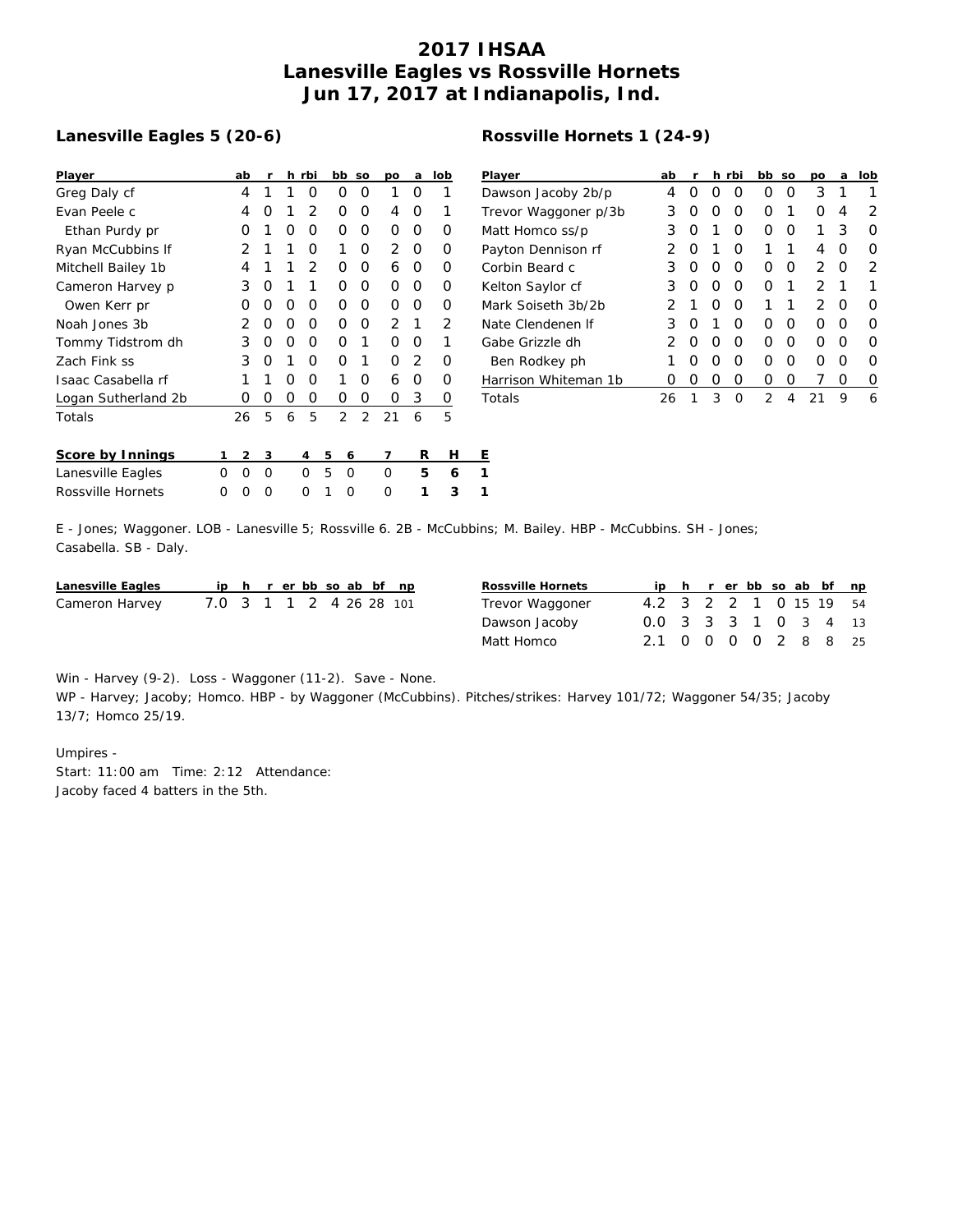## **2017 IHSAA Lanesville Eagles vs Rossville Hornets Jun 17, 2017 at Indianapolis, Ind.**

## **Lanesville Eagles 5 (20-6)**

| Player              |   | ab             | r |   | h rbi          |   | bb | SO | DO | a              | lob | P |
|---------------------|---|----------------|---|---|----------------|---|----|----|----|----------------|-----|---|
| Greg Daly cf        |   | 4              | 1 | 1 | Ο              |   | Ο  | Ο  | 1  | Ω              | 1   | D |
| Evan Peele c        |   | 4              | Ο | 1 | $\overline{2}$ |   | 0  | Ο  | 4  | O              | 1   | Τ |
| Ethan Purdy pr      |   | Ω              | 1 | O | Ο              |   | 0  | Ο  | O  | Ο              | Ο   | N |
| Ryan McCubbins If   |   | 2              | 1 | 1 | O              |   | 1  | Ο  | 2  | 0              | O   | P |
| Mitchell Bailey 1b  |   | 4              | 1 | 1 | $\overline{2}$ |   | 0  | Ο  | 6  | 0              | 0   | C |
| Cameron Harvey p    |   | 3              | 0 | 1 | 1              |   | O  | Ο  | 0  | Ο              | O   | К |
| Owen Kerr pr        |   | Ω              | Ο | Ο | Ο              |   | 0  | Ο  | 0  | Ο              | Ο   | N |
| Noah Jones 3b       |   | 2              | O | Ο | Ο              |   | Ο  | Ο  | 2  | 1              | 2   | Ν |
| Tommy Tidstrom dh   |   | 3              | 0 | Ο | Ω              |   | O  | 1  | Ο  | Ω              | 1   | G |
| Zach Fink ss        |   | 3              | 0 | 1 | Ω              |   | O  | 1  | Ω  | $\overline{2}$ | Ω   |   |
| Isaac Casabella rf  |   | 1              | 1 | Ω | O              |   | 1  | Ω  | 6  | Ο              | Ο   | ⊦ |
| Logan Sutherland 2b |   | Ο              | 0 | 0 | O              |   | O  | 0  | 0  | 3              | 0   | Τ |
| Totals              |   | 26             | 5 | 6 | 5              |   | 2  | 2  | 21 | 6              | 5   |   |
| Score by Innings    | 1 | $\mathfrak{D}$ | 3 |   | 4              | 5 | 6  |    | 7  | R              | н   | E |
| Lanesville Eagles   | Ω | Ω              | O |   | Ω              | 5 | Ω  |    | O  | 5              | 6   | 1 |
| Rossville Hornets   | Ω | Ω              | Ω |   | Ω              | 1 | Ω  |    | Ω  | 1              | 3   | 1 |

| Rossville Hornets 1 (24-9) |  |
|----------------------------|--|
|----------------------------|--|

| Player               | ab            | r                |                  | h rbi            | bb.              | SO | <b>DO</b>     | a | lob              |
|----------------------|---------------|------------------|------------------|------------------|------------------|----|---------------|---|------------------|
| Dawson Jacoby 2b/p   | 4             | $\left( \right)$ | $\left( \right)$ | $\left( \right)$ | 0                | Ω  | 3             | 1 |                  |
| Trevor Waggoner p/3b | 3             | Ω                | Ω                | O                | Ω                | 1  | Ω             | 4 | 2                |
| Matt Homco ss/p      | 3             | Ω                | 1                | Ω                | $\left( \right)$ | Ω  | 1             | 3 | Ω                |
| Payton Dennison rf   | 2             | O                | 1                | O                | 1                | 1  | 4             | O | Ω                |
| Corbin Beard c       | 3             | Ω                | O                | O                | Ω                | Ω  | 2             | O | 2                |
| Kelton Saylor cf     | 3             | Ω                | Ω                | O                | ∩                | 1  | っ             | 1 | 1                |
| Mark Soiseth 3b/2b   | 2             | 1                | O                | O                | 1                | 1  | $\mathcal{P}$ | O | Ω                |
| Nate Clendenen If    | 3             | O                | 1                | O                | Ω                | ∩  | ∩             | O | Ω                |
| Gabe Grizzle dh      | $\mathcal{P}$ | O                | O                | O                | Ω                | ∩  | ∩             | O | Ω                |
| Ben Rodkey ph        |               | Ω                | Ω                | O                | Ω                | ∩  | Ω             | O | Ω                |
| Harrison Whiteman 1b | 0             | $\left( \right)$ | Ω                | $\left( \right)$ | $\left( \right)$ | Ω  |               | Ω | $\left( \right)$ |
| Totals               | 26            | 1                | 3                | ∩                | 2                | 4  | ົ່ງ:          | 9 | 6                |

E - Jones; Waggoner. LOB - Lanesville 5; Rossville 6. 2B - McCubbins; M. Bailey. HBP - McCubbins. SH - Jones; Casabella. SB - Daly.

| Lanesville Eagles |                         |  |  |  | ip h r er bb so ab bf np | Rossville Hornets |                        |  |  |  | ip h r er bb so ab bf np |
|-------------------|-------------------------|--|--|--|--------------------------|-------------------|------------------------|--|--|--|--------------------------|
| Cameron Harvey    | 7.0 3 1 1 2 4 26 28 101 |  |  |  |                          | Trevor Waggoner   | 4.2 3 2 2 1 0 15 19 54 |  |  |  |                          |
|                   |                         |  |  |  |                          | Dawson Jacoby     | 0.0 3 3 3 1 0 3 4 13   |  |  |  |                          |
|                   |                         |  |  |  |                          | Matt Homco        | 2.1 0 0 0 0 2 8 8 25   |  |  |  |                          |

Win - Harvey (9-2). Loss - Waggoner (11-2). Save - None.

WP - Harvey; Jacoby; Homco. HBP - by Waggoner (McCubbins). Pitches/strikes: Harvey 101/72; Waggoner 54/35; Jacoby 13/7; Homco 25/19.

Umpires - Start: 11:00 am Time: 2:12 Attendance: Jacoby faced 4 batters in the 5th.